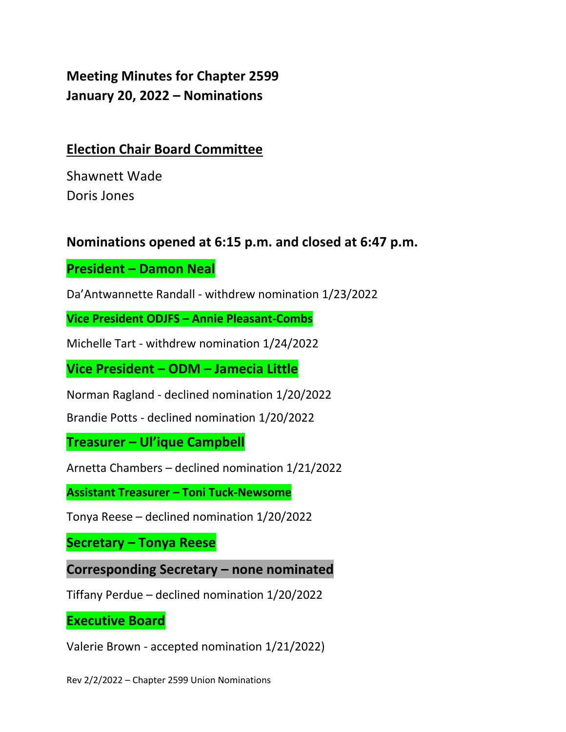**Meeting Minutes for Chapter 2599 January 20, 2022 – Nominations**

## **Election Chair Board Committee**

Shawnett Wade Doris Jones

## **Nominations opened at 6:15 p.m. and closed at 6:47 p.m.**

**President – Damon Neal**

Da'Antwannette Randall - withdrew nomination 1/23/2022

**Vice President ODJFS – Annie Pleasant-Combs**

Michelle Tart - withdrew nomination 1/24/2022

**Vice President – ODM – Jamecia Little**

Norman Ragland - declined nomination 1/20/2022

Brandie Potts - declined nomination 1/20/2022

**Treasurer – Ul'ique Campbell**

Arnetta Chambers – declined nomination 1/21/2022

**Assistant Treasurer – Toni Tuck-Newsome**

Tonya Reese – declined nomination 1/20/2022

**Secretary – Tonya Reese**

**Corresponding Secretary – none nominated**

Tiffany Perdue – declined nomination 1/20/2022

**Executive Board**

Valerie Brown - accepted nomination 1/21/2022)

Rev 2/2/2022 – Chapter 2599 Union Nominations